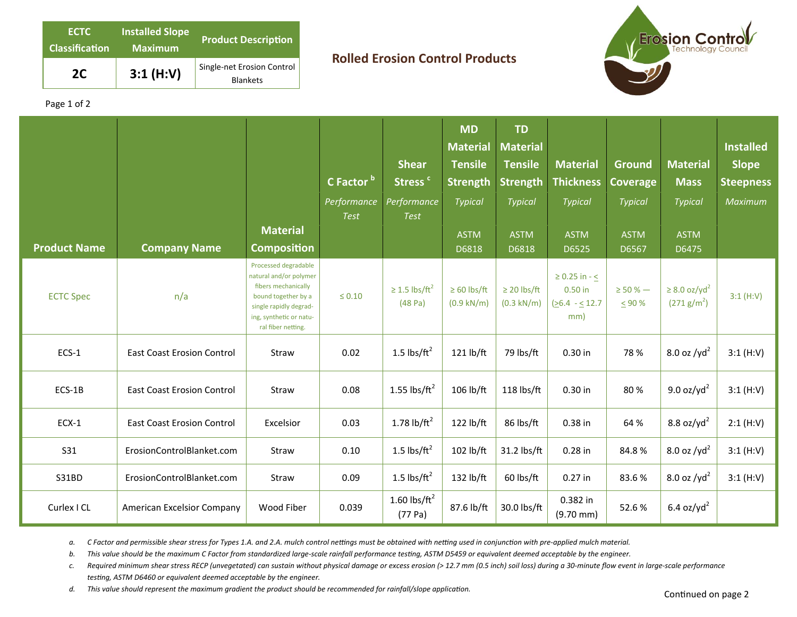| <b>ECTC</b><br><b>Classification</b> | <b>Installed Slope</b><br><b>Maximum</b> | <b>Product Description</b>                    |  |  |  |  |
|--------------------------------------|------------------------------------------|-----------------------------------------------|--|--|--|--|
| 2C                                   | 3:1(H:V)                                 | Single-net Erosion Control<br><b>Blankets</b> |  |  |  |  |

## **Rolled Erosion Control Products**



Page 1 of 2

| <b>Product Name</b> | <b>Company Name</b>               | <b>Material</b><br><b>Composition</b>                                                                                                                                   | C Factor b<br>Performance<br><b>Test</b> | <b>Shear</b><br>Stress <sup>c</sup><br>Performance<br><b>Test</b> | <b>MD</b><br><b>Material</b><br><b>Tensile</b><br><b>Strength</b><br><b>Typical</b><br><b>ASTM</b><br>D6818 | <b>TD</b><br><b>Material</b><br><b>Tensile</b><br><b>Strength</b><br>Typical<br><b>ASTM</b><br>D6818 | <b>Material</b><br><b>Thickness</b><br><b>Typical</b><br><b>ASTM</b><br>D6525 | Ground<br><b>Coverage</b><br><b>Typical</b><br><b>ASTM</b><br>D6567 | <b>Material</b><br><b>Mass</b><br><b>Typical</b><br><b>ASTM</b><br>D6475 | <b>Installed</b><br><b>Slope</b><br><b>Steepness</b><br>Maximum |
|---------------------|-----------------------------------|-------------------------------------------------------------------------------------------------------------------------------------------------------------------------|------------------------------------------|-------------------------------------------------------------------|-------------------------------------------------------------------------------------------------------------|------------------------------------------------------------------------------------------------------|-------------------------------------------------------------------------------|---------------------------------------------------------------------|--------------------------------------------------------------------------|-----------------------------------------------------------------|
| <b>ECTC Spec</b>    | n/a                               | Processed degradable<br>natural and/or polymer<br>fibers mechanically<br>bound together by a<br>single rapidly degrad-<br>ing, synthetic or natu-<br>ral fiber netting. | $\leq 0.10$                              | $\geq$ 1.5 lbs/ft <sup>2</sup><br>(48 Pa)                         | $\geq 60$ lbs/ft<br>$(0.9 \text{ kN/m})$                                                                    | $\geq$ 20 lbs/ft<br>$(0.3 \text{ kN/m})$                                                             | $\geq 0.25$ in - <<br>0.50 in<br>$(26.4 - 12.7)$<br>mm)                       | $\geq$ 50 % $-$<br>$\leq 90%$                                       | $\geq$ 8.0 oz/yd <sup>2</sup><br>(271 g/m <sup>2</sup> )                 | 3:1(H:V)                                                        |
| ECS-1               | <b>East Coast Erosion Control</b> | Straw                                                                                                                                                                   | 0.02                                     | 1.5 $\text{lbs/ft}^2$                                             | 121 lb/ft                                                                                                   | 79 lbs/ft                                                                                            | 0.30 in                                                                       | 78 %                                                                | 8.0 oz / $yd^2$                                                          | 3:1(H:V)                                                        |
| ECS-1B              | <b>East Coast Erosion Control</b> | Straw                                                                                                                                                                   | 0.08                                     | 1.55 lbs/ $ft^2$                                                  | 106 lb/ft                                                                                                   | 118 lbs/ft                                                                                           | 0.30 in                                                                       | 80%                                                                 | 9.0 oz/yd <sup>2</sup>                                                   | 3:1(H:V)                                                        |
| $ECX-1$             | <b>East Coast Erosion Control</b> | Excelsior                                                                                                                                                               | 0.03                                     | 1.78 $lb/ft^2$                                                    | 122 lb/ft                                                                                                   | 86 lbs/ft                                                                                            | 0.38 in                                                                       | 64 %                                                                | 8.8 oz/yd <sup>2</sup>                                                   | 2:1(H:V)                                                        |
| <b>S31</b>          | ErosionControlBlanket.com         | Straw                                                                                                                                                                   | 0.10                                     | 1.5 $\text{lbs/ft}^2$                                             | 102 lb/ft                                                                                                   | 31.2 lbs/ft                                                                                          | $0.28$ in                                                                     | 84.8%                                                               | 8.0 oz / $yd^2$                                                          | 3:1(H:V)                                                        |
| <b>S31BD</b>        | ErosionControlBlanket.com         | Straw                                                                                                                                                                   | 0.09                                     | 1.5 $\text{lbs/ft}^2$                                             | 132 lb/ft                                                                                                   | 60 lbs/ft                                                                                            | $0.27$ in                                                                     | 83.6%                                                               | 8.0 oz / $yd^2$                                                          | 3:1(H:V)                                                        |
| Curlex I CL         | American Excelsior Company        | Wood Fiber                                                                                                                                                              | 0.039                                    | 1.60 lbs/ $ft^2$<br>(77 Pa)                                       | 87.6 lb/ft                                                                                                  | 30.0 lbs/ft                                                                                          | 0.382 in<br>$(9.70 \text{ mm})$                                               | 52.6%                                                               | $6.4$ oz/yd <sup>2</sup>                                                 |                                                                 |

a. C Factor and permissible shear stress for Types 1.A. and 2.A. mulch control nettings must be obtained with netting used in conjunction with pre-applied mulch material.

b. This value should be the maximum C Factor from standardized large-scale rainfall performance testing, ASTM D5459 or equivalent deemed acceptable by the engineer.

*c. Required minimum shear stress RECP (unvegetated) can sustain without physical damage or excess erosion (> 12.7 mm (0.5 inch) soil loss) during a 30‐minute flow event in large‐scale performance*  testing, ASTM D6460 or equivalent deemed acceptable by the engineer.

*d.* This value should represent the maximum gradient the product should be recommended for rainfall/slope application. Continued on page 2 continued on page 2